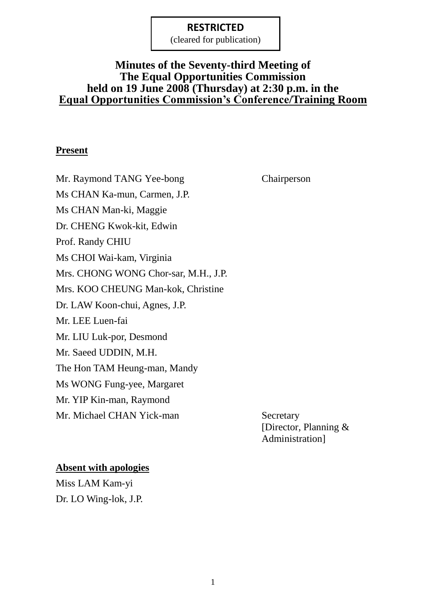(cleared for publication)

## **Minutes of the Seventy-third Meeting of The Equal Opportunities Commission held on 19 June 2008 (Thursday) at 2:30 p.m. in the Equal Opportunities Commission's Conference/Training Room**

### **Present**

Mr. Raymond TANG Yee-bong Chairperson Ms CHAN Ka-mun, Carmen, J.P. Ms CHAN Man-ki, Maggie Dr. CHENG Kwok-kit, Edwin Prof. Randy CHIU Ms CHOI Wai-kam, Virginia Mrs. CHONG WONG Chor-sar, M.H., J.P. Mrs. KOO CHEUNG Man-kok, Christine Dr. LAW Koon-chui, Agnes, J.P. Mr. LEE Luen-fai Mr. LIU Luk-por, Desmond Mr. Saeed UDDIN, M.H. The Hon TAM Heung-man, Mandy Ms WONG Fung-yee, Margaret Mr. YIP Kin-man, Raymond Mr. Michael CHAN Yick-man Secretary

[Director, Planning & Administration]

#### **Absent with apologies**

Miss LAM Kam-yi Dr. LO Wing-lok, J.P.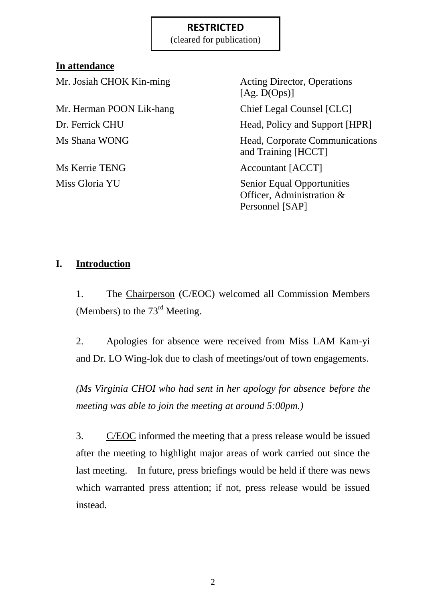(cleared for publication)

## **In attendance**

Mr. Josiah CHOK Kin-ming Acting Director, Operations

Mr. Herman POON Lik-hang Chief Legal Counsel [CLC]

 $[Ag, D(Ops)]$ Dr. Ferrick CHU Head, Policy and Support [HPR] Ms Shana WONG Head, Corporate Communications and Training [HCCT] Ms Kerrie TENG Accountant [ACCT] Miss Gloria YU Senior Equal Opportunities Officer, Administration &

Personnel [SAP]

## **I. Introduction**

1. The Chairperson (C/EOC) welcomed all Commission Members (Members) to the  $73<sup>rd</sup>$  Meeting.

2. Apologies for absence were received from Miss LAM Kam-yi and Dr. LO Wing-lok due to clash of meetings/out of town engagements.

*(Ms Virginia CHOI who had sent in her apology for absence before the meeting was able to join the meeting at around 5:00pm.)*

3. C/EOC informed the meeting that a press release would be issued after the meeting to highlight major areas of work carried out since the last meeting. In future, press briefings would be held if there was news which warranted press attention; if not, press release would be issued instead.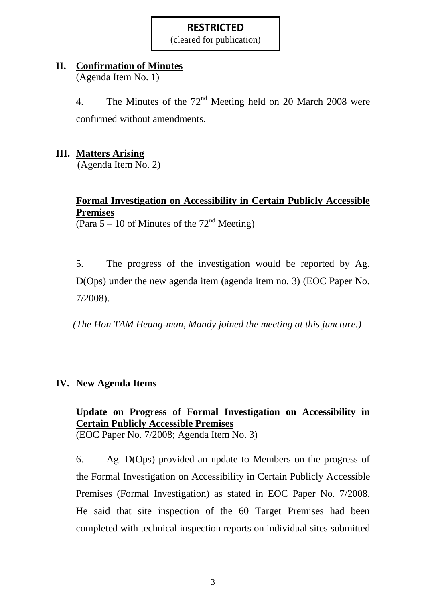(cleared for publication)

## **II. Confirmation of Minutes**

(Agenda Item No. 1)

4. The Minutes of the 72<sup>nd</sup> Meeting held on 20 March 2008 were confirmed without amendments.

## **III. Matters Arising**

(Agenda Item No. 2)

# **Formal Investigation on Accessibility in Certain Publicly Accessible Premises**

 $\overline{(Para 5 - 10 \text{ of Minutes of the } 72^{\text{nd}} \text{ Meeting})}$ 

5. The progress of the investigation would be reported by Ag. D(Ops) under the new agenda item (agenda item no. 3) (EOC Paper No. 7/2008).

*(The Hon TAM Heung-man, Mandy joined the meeting at this juncture.)*

## **IV. New Agenda Items**

# **Update on Progress of Formal Investigation on Accessibility in Certain Publicly Accessible Premises**

(EOC Paper No. 7/2008; Agenda Item No. 3)

6. Ag. D(Ops) provided an update to Members on the progress of the Formal Investigation on Accessibility in Certain Publicly Accessible Premises (Formal Investigation) as stated in EOC Paper No. 7/2008. He said that site inspection of the 60 Target Premises had been completed with technical inspection reports on individual sites submitted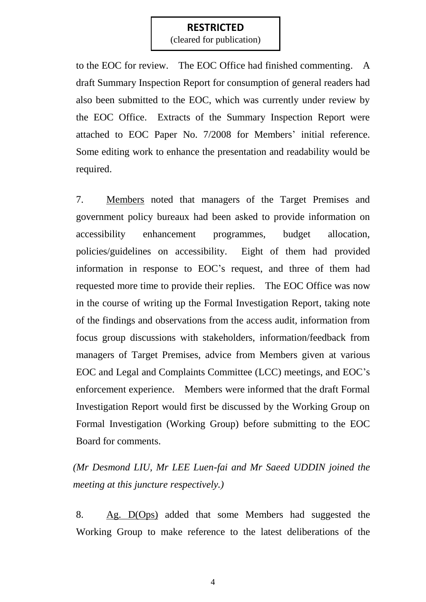(cleared for publication)

to the EOC for review. The EOC Office had finished commenting. A draft Summary Inspection Report for consumption of general readers had also been submitted to the EOC, which was currently under review by the EOC Office. Extracts of the Summary Inspection Report were attached to EOC Paper No. 7/2008 for Members' initial reference. Some editing work to enhance the presentation and readability would be required.

7. Members noted that managers of the Target Premises and government policy bureaux had been asked to provide information on accessibility enhancement programmes, budget allocation, policies/guidelines on accessibility. Eight of them had provided information in response to EOC's request, and three of them had requested more time to provide their replies. The EOC Office was now in the course of writing up the Formal Investigation Report, taking note of the findings and observations from the access audit, information from focus group discussions with stakeholders, information/feedback from managers of Target Premises, advice from Members given at various EOC and Legal and Complaints Committee (LCC) meetings, and EOC's enforcement experience. Members were informed that the draft Formal Investigation Report would first be discussed by the Working Group on Formal Investigation (Working Group) before submitting to the EOC Board for comments.

*(Mr Desmond LIU, Mr LEE Luen-fai and Mr Saeed UDDIN joined the meeting at this juncture respectively.)*

8. Ag. D(Ops) added that some Members had suggested the Working Group to make reference to the latest deliberations of the

4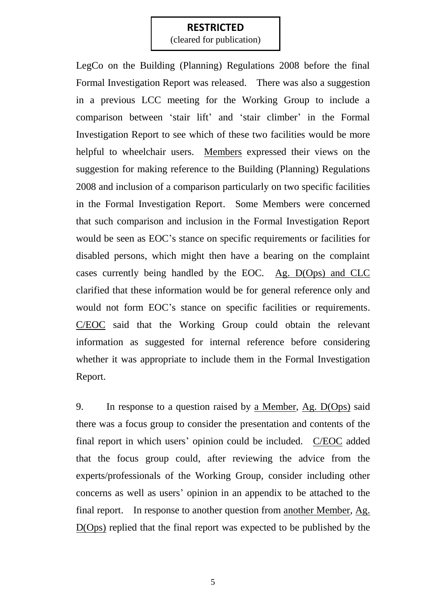(cleared for publication)

LegCo on the Building (Planning) Regulations 2008 before the final Formal Investigation Report was released. There was also a suggestion in a previous LCC meeting for the Working Group to include a comparison between 'stair lift' and 'stair climber' in the Formal Investigation Report to see which of these two facilities would be more helpful to wheelchair users. Members expressed their views on the suggestion for making reference to the Building (Planning) Regulations 2008 and inclusion of a comparison particularly on two specific facilities in the Formal Investigation Report. Some Members were concerned that such comparison and inclusion in the Formal Investigation Report would be seen as EOC's stance on specific requirements or facilities for disabled persons, which might then have a bearing on the complaint cases currently being handled by the EOC. Ag. D(Ops) and CLC clarified that these information would be for general reference only and would not form EOC's stance on specific facilities or requirements. C/EOC said that the Working Group could obtain the relevant information as suggested for internal reference before considering whether it was appropriate to include them in the Formal Investigation Report.

9. In response to a question raised by a Member, Ag. D(Ops) said there was a focus group to consider the presentation and contents of the final report in which users' opinion could be included. C/EOC added that the focus group could, after reviewing the advice from the experts/professionals of the Working Group, consider including other concerns as well as users' opinion in an appendix to be attached to the final report. In response to another question from another Member, Ag. D(Ops) replied that the final report was expected to be published by the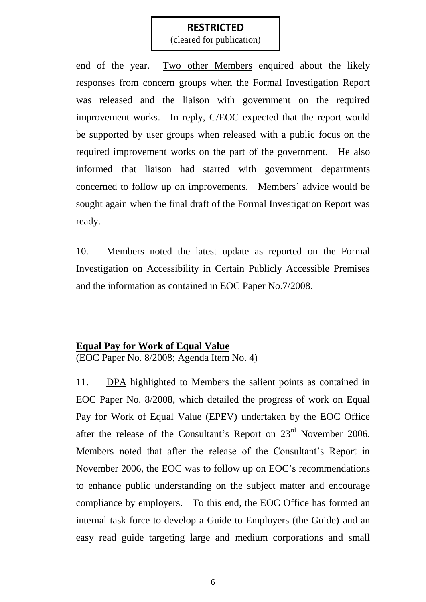(cleared for publication)

end of the year. Two other Members enquired about the likely responses from concern groups when the Formal Investigation Report was released and the liaison with government on the required improvement works. In reply, C/EOC expected that the report would be supported by user groups when released with a public focus on the required improvement works on the part of the government. He also informed that liaison had started with government departments concerned to follow up on improvements. Members' advice would be sought again when the final draft of the Formal Investigation Report was ready.

10. Members noted the latest update as reported on the Formal Investigation on Accessibility in Certain Publicly Accessible Premises and the information as contained in EOC Paper No.7/2008.

#### **Equal Pay for Work of Equal Value**

(EOC Paper No. 8/2008; Agenda Item No. 4)

11. DPA highlighted to Members the salient points as contained in EOC Paper No. 8/2008, which detailed the progress of work on Equal Pay for Work of Equal Value (EPEV) undertaken by the EOC Office after the release of the Consultant's Report on 23rd November 2006. Members noted that after the release of the Consultant's Report in November 2006, the EOC was to follow up on EOC's recommendations to enhance public understanding on the subject matter and encourage compliance by employers. To this end, the EOC Office has formed an internal task force to develop a Guide to Employers (the Guide) and an easy read guide targeting large and medium corporations and small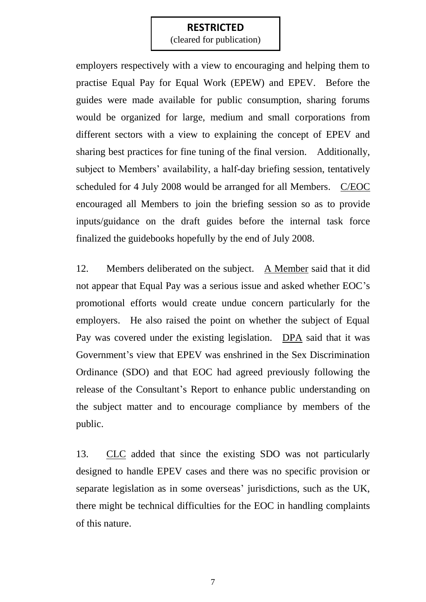(cleared for publication)

employers respectively with a view to encouraging and helping them to practise Equal Pay for Equal Work (EPEW) and EPEV. Before the guides were made available for public consumption, sharing forums would be organized for large, medium and small corporations from different sectors with a view to explaining the concept of EPEV and sharing best practices for fine tuning of the final version. Additionally, subject to Members' availability, a half-day briefing session, tentatively scheduled for 4 July 2008 would be arranged for all Members. C/EOC encouraged all Members to join the briefing session so as to provide inputs/guidance on the draft guides before the internal task force finalized the guidebooks hopefully by the end of July 2008.

12. Members deliberated on the subject. A Member said that it did not appear that Equal Pay was a serious issue and asked whether EOC's promotional efforts would create undue concern particularly for the employers. He also raised the point on whether the subject of Equal Pay was covered under the existing legislation. DPA said that it was Government's view that EPEV was enshrined in the Sex Discrimination Ordinance (SDO) and that EOC had agreed previously following the release of the Consultant's Report to enhance public understanding on the subject matter and to encourage compliance by members of the public.

13. CLC added that since the existing SDO was not particularly designed to handle EPEV cases and there was no specific provision or separate legislation as in some overseas' jurisdictions, such as the UK, there might be technical difficulties for the EOC in handling complaints of this nature.

7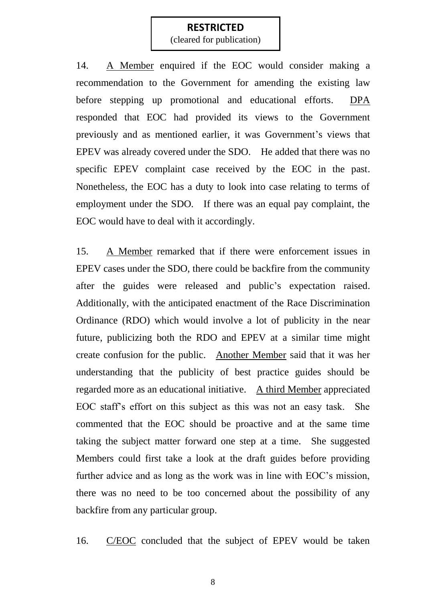(cleared for publication)

14. A Member enquired if the EOC would consider making a recommendation to the Government for amending the existing law before stepping up promotional and educational efforts. DPA responded that EOC had provided its views to the Government previously and as mentioned earlier, it was Government's views that EPEV was already covered under the SDO. He added that there was no specific EPEV complaint case received by the EOC in the past. Nonetheless, the EOC has a duty to look into case relating to terms of employment under the SDO. If there was an equal pay complaint, the EOC would have to deal with it accordingly.

15. A Member remarked that if there were enforcement issues in EPEV cases under the SDO, there could be backfire from the community after the guides were released and public's expectation raised. Additionally, with the anticipated enactment of the Race Discrimination Ordinance (RDO) which would involve a lot of publicity in the near future, publicizing both the RDO and EPEV at a similar time might create confusion for the public. Another Member said that it was her understanding that the publicity of best practice guides should be regarded more as an educational initiative. A third Member appreciated EOC staff's effort on this subject as this was not an easy task. She commented that the EOC should be proactive and at the same time taking the subject matter forward one step at a time. She suggested Members could first take a look at the draft guides before providing further advice and as long as the work was in line with EOC's mission, there was no need to be too concerned about the possibility of any backfire from any particular group.

16. C/EOC concluded that the subject of EPEV would be taken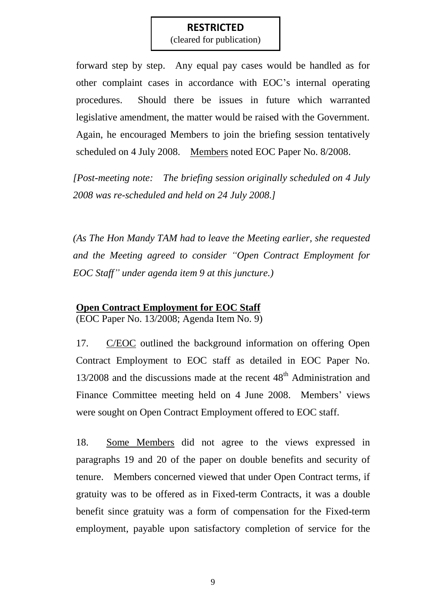(cleared for publication)

forward step by step. Any equal pay cases would be handled as for other complaint cases in accordance with EOC's internal operating procedures. Should there be issues in future which warranted legislative amendment, the matter would be raised with the Government. Again, he encouraged Members to join the briefing session tentatively scheduled on 4 July 2008. Members noted EOC Paper No. 8/2008.

*[Post-meeting note: The briefing session originally scheduled on 4 July 2008 was re-scheduled and held on 24 July 2008.]*

*(As The Hon Mandy TAM had to leave the Meeting earlier, she requested and the Meeting agreed to consider "Open Contract Employment for EOC Staff" under agenda item 9 at this juncture.)*

#### **Open Contract Employment for EOC Staff**

(EOC Paper No. 13/2008; Agenda Item No. 9)

17. C/EOC outlined the background information on offering Open Contract Employment to EOC staff as detailed in EOC Paper No.  $13/2008$  and the discussions made at the recent  $48<sup>th</sup>$  Administration and Finance Committee meeting held on 4 June 2008. Members' views were sought on Open Contract Employment offered to EOC staff.

18. Some Members did not agree to the views expressed in paragraphs 19 and 20 of the paper on double benefits and security of tenure. Members concerned viewed that under Open Contract terms, if gratuity was to be offered as in Fixed-term Contracts, it was a double benefit since gratuity was a form of compensation for the Fixed-term employment, payable upon satisfactory completion of service for the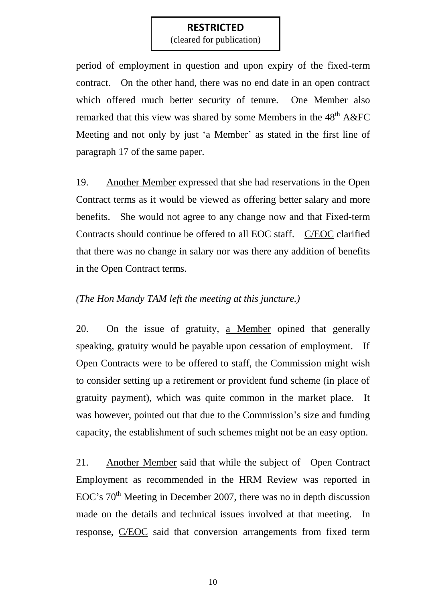(cleared for publication)

period of employment in question and upon expiry of the fixed-term contract. On the other hand, there was no end date in an open contract which offered much better security of tenure. One Member also remarked that this view was shared by some Members in the  $48<sup>th</sup> A&FC$ Meeting and not only by just 'a Member' as stated in the first line of paragraph 17 of the same paper.

19. Another Member expressed that she had reservations in the Open Contract terms as it would be viewed as offering better salary and more benefits. She would not agree to any change now and that Fixed-term Contracts should continue be offered to all EOC staff. C/EOC clarified that there was no change in salary nor was there any addition of benefits in the Open Contract terms.

#### *(The Hon Mandy TAM left the meeting at this juncture.)*

20. On the issue of gratuity, a Member opined that generally speaking, gratuity would be payable upon cessation of employment. If Open Contracts were to be offered to staff, the Commission might wish to consider setting up a retirement or provident fund scheme (in place of gratuity payment), which was quite common in the market place. It was however, pointed out that due to the Commission's size and funding capacity, the establishment of such schemes might not be an easy option.

21. Another Member said that while the subject of Open Contract Employment as recommended in the HRM Review was reported in EOC's  $70<sup>th</sup>$  Meeting in December 2007, there was no in depth discussion made on the details and technical issues involved at that meeting. In response, C/EOC said that conversion arrangements from fixed term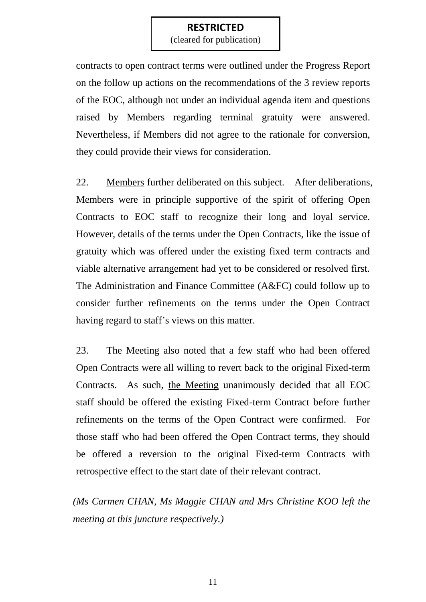(cleared for publication)

contracts to open contract terms were outlined under the Progress Report on the follow up actions on the recommendations of the 3 review reports of the EOC, although not under an individual agenda item and questions raised by Members regarding terminal gratuity were answered. Nevertheless, if Members did not agree to the rationale for conversion, they could provide their views for consideration.

22. Members further deliberated on this subject. After deliberations, Members were in principle supportive of the spirit of offering Open Contracts to EOC staff to recognize their long and loyal service. However, details of the terms under the Open Contracts, like the issue of gratuity which was offered under the existing fixed term contracts and viable alternative arrangement had yet to be considered or resolved first. The Administration and Finance Committee (A&FC) could follow up to consider further refinements on the terms under the Open Contract having regard to staff's views on this matter.

23. The Meeting also noted that a few staff who had been offered Open Contracts were all willing to revert back to the original Fixed-term Contracts. As such, the Meeting unanimously decided that all EOC staff should be offered the existing Fixed-term Contract before further refinements on the terms of the Open Contract were confirmed. For those staff who had been offered the Open Contract terms, they should be offered a reversion to the original Fixed-term Contracts with retrospective effect to the start date of their relevant contract.

*(Ms Carmen CHAN, Ms Maggie CHAN and Mrs Christine KOO left the meeting at this juncture respectively.)*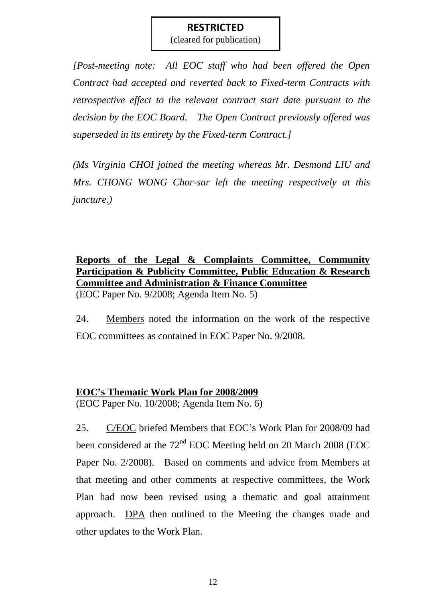(cleared for publication)

*[Post-meeting note: All EOC staff who had been offered the Open Contract had accepted and reverted back to Fixed-term Contracts with retrospective effect to the relevant contract start date pursuant to the decision by the EOC Board. The Open Contract previously offered was superseded in its entirety by the Fixed-term Contract.]*

*(Ms Virginia CHOI joined the meeting whereas Mr. Desmond LIU and Mrs. CHONG WONG Chor-sar left the meeting respectively at this juncture.)*

## **Reports of the Legal & Complaints Committee, Community Participation & Publicity Committee, Public Education & Research Committee and Administration & Finance Committee**

(EOC Paper No. 9/2008; Agenda Item No. 5)

24. Members noted the information on the work of the respective EOC committees as contained in EOC Paper No. 9/2008.

## **EOC's Thematic Work Plan for 2008/2009**

(EOC Paper No. 10/2008; Agenda Item No. 6)

25. C/EOC briefed Members that EOC's Work Plan for 2008/09 had been considered at the 72<sup>nd</sup> EOC Meeting held on 20 March 2008 (EOC Paper No. 2/2008). Based on comments and advice from Members at that meeting and other comments at respective committees, the Work Plan had now been revised using a thematic and goal attainment approach. DPA then outlined to the Meeting the changes made and other updates to the Work Plan.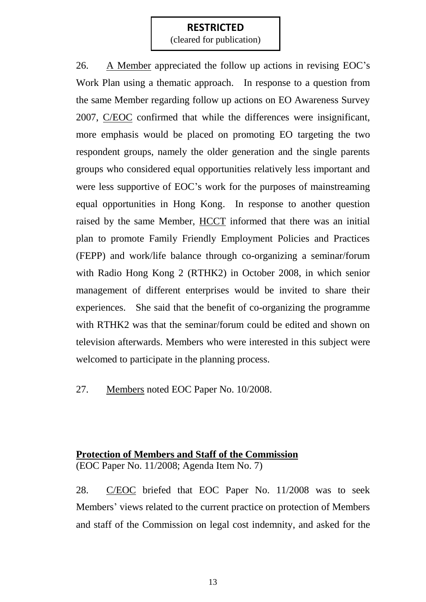(cleared for publication)

26. A Member appreciated the follow up actions in revising EOC's Work Plan using a thematic approach. In response to a question from the same Member regarding follow up actions on EO Awareness Survey 2007, C/EOC confirmed that while the differences were insignificant, more emphasis would be placed on promoting EO targeting the two respondent groups, namely the older generation and the single parents groups who considered equal opportunities relatively less important and were less supportive of EOC's work for the purposes of mainstreaming equal opportunities in Hong Kong. In response to another question raised by the same Member, HCCT informed that there was an initial plan to promote Family Friendly Employment Policies and Practices (FEPP) and work/life balance through co-organizing a seminar/forum with Radio Hong Kong 2 (RTHK2) in October 2008, in which senior management of different enterprises would be invited to share their experiences. She said that the benefit of co-organizing the programme with RTHK2 was that the seminar/forum could be edited and shown on television afterwards. Members who were interested in this subject were welcomed to participate in the planning process.

27. Members noted EOC Paper No. 10/2008.

## **Protection of Members and Staff of the Commission** (EOC Paper No. 11/2008; Agenda Item No. 7)

28. C/EOC briefed that EOC Paper No. 11/2008 was to seek Members' views related to the current practice on protection of Members and staff of the Commission on legal cost indemnity, and asked for the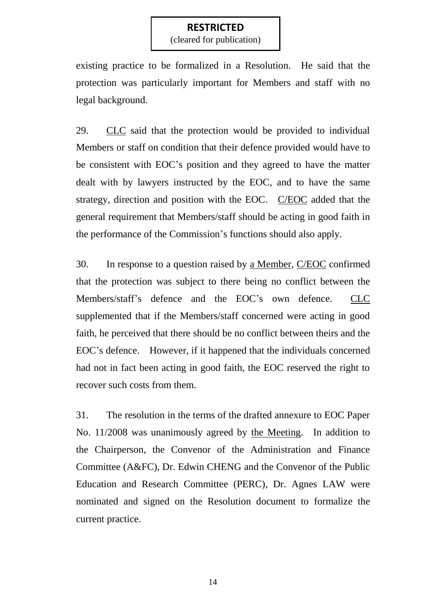(cleared for publication)

existing practice to be formalized in a Resolution. He said that the protection was particularly important for Members and staff with no legal background.

29. CLC said that the protection would be provided to individual Members or staff on condition that their defence provided would have to be consistent with EOC's position and they agreed to have the matter dealt with by lawyers instructed by the EOC, and to have the same strategy, direction and position with the EOC. C/EOC added that the general requirement that Members/staff should be acting in good faith in the performance of the Commission's functions should also apply.

30. In response to a question raised by a Member, C/EOC confirmed that the protection was subject to there being no conflict between the Members/staff's defence and the EOC's own defence. CLC supplemented that if the Members/staff concerned were acting in good faith, he perceived that there should be no conflict between theirs and the EOC's defence. However, if it happened that the individuals concerned had not in fact been acting in good faith, the EOC reserved the right to recover such costs from them.

31. The resolution in the terms of the drafted annexure to EOC Paper No. 11/2008 was unanimously agreed by the Meeting. In addition to the Chairperson, the Convenor of the Administration and Finance Committee (A&FC), Dr. Edwin CHENG and the Convenor of the Public Education and Research Committee (PERC), Dr. Agnes LAW were nominated and signed on the Resolution document to formalize the current practice.